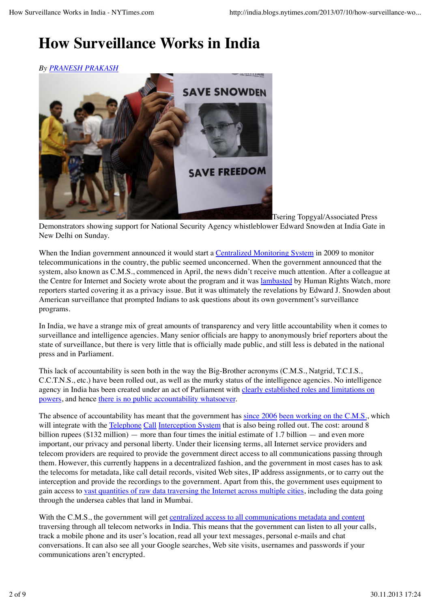## **How Surveillance Works in India**

## *By PRANESH PRAKASH*



Tsering Topgyal/Associated Press Demonstrators showing support for National Security Agency whistleblower Edward Snowden at India Gate in New Delhi on Sunday.

When the Indian government announced it would start a Centralized Monitoring System in 2009 to monitor telecommunications in the country, the public seemed unconcerned. When the government announced that the system, also known as C.M.S., commenced in April, the news didn't receive much attention. After a colleague at the Centre for Internet and Society wrote about the program and it was lambasted by Human Rights Watch, more reporters started covering it as a privacy issue. But it was ultimately the revelations by Edward J. Snowden about American surveillance that prompted Indians to ask questions about its own government's surveillance programs.

In India, we have a strange mix of great amounts of transparency and very little accountability when it comes to surveillance and intelligence agencies. Many senior officials are happy to anonymously brief reporters about the state of surveillance, but there is very little that is officially made public, and still less is debated in the national press and in Parliament.

This lack of accountability is seen both in the way the Big-Brother acronyms (C.M.S., Natgrid, T.C.I.S., C.C.T.N.S., etc.) have been rolled out, as well as the murky status of the intelligence agencies. No intelligence agency in India has been created under an act of Parliament with clearly established roles and limitations on powers, and hence there is no public accountability whatsoever.

The absence of accountability has meant that the government has since 2006 been working on the C.M.S., which will integrate with the Telephone Call Interception System that is also being rolled out. The cost: around 8 billion rupees ( $$132$  million) — more than four times the initial estimate of 1.7 billion — and even more important, our privacy and personal liberty. Under their licensing terms, all Internet service providers and telecom providers are required to provide the government direct access to all communications passing through them. However, this currently happens in a decentralized fashion, and the government in most cases has to ask the telecoms for metadata, like call detail records, visited Web sites, IP address assignments, or to carry out the interception and provide the recordings to the government. Apart from this, the government uses equipment to gain access to vast quantities of raw data traversing the Internet across multiple cities, including the data going through the undersea cables that land in Mumbai.

With the C.M.S., the government will get centralized access to all communications metadata and content traversing through all telecom networks in India. This means that the government can listen to all your calls, track a mobile phone and its user's location, read all your text messages, personal e-mails and chat conversations. It can also see all your Google searches, Web site visits, usernames and passwords if your communications aren't encrypted.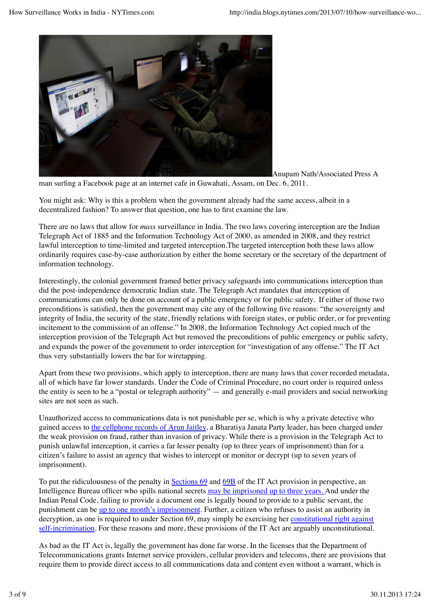

Anupam Nath/Associated Press A

man surfing a Facebook page at an internet cafe in Guwahati, Assam, on Dec. 6, 2011.

You might ask: Why is this a problem when the government already had the same access, albeit in a decentralized fashion? To answer that question, one has to first examine the law.

There are no laws that allow for *mass* surveillance in India. The two laws covering interception are the Indian Telegraph Act of 1885 and the Information Technology Act of 2000, as amended in 2008, and they restrict lawful interception to time-limited and targeted interception.The targeted interception both these laws allow ordinarily requires case-by-case authorization by either the home secretary or the secretary of the department of information technology.

Interestingly, the colonial government framed better privacy safeguards into communications interception than did the post-independence democratic Indian state. The Telegraph Act mandates that interception of communications can only be done on account of a public emergency or for public safety. If either of those two preconditions is satisfied, then the government may cite any of the following five reasons: "the sovereignty and integrity of India, the security of the state, friendly relations with foreign states, or public order, or for preventing incitement to the commission of an offense." In 2008, the Information Technology Act copied much of the interception provision of the Telegraph Act but removed the preconditions of public emergency or public safety, and expands the power of the government to order interception for "investigation of any offense." The IT Act thus very substantially lowers the bar for wiretapping.

Apart from these two provisions, which apply to interception, there are many laws that cover recorded metadata, all of which have far lower standards. Under the Code of Criminal Procedure, no court order is required unless the entity is seen to be a "postal or telegraph authority" — and generally e-mail providers and social networking sites are not seen as such.

Unauthorized access to communications data is not punishable per se, which is why a private detective who gained access to the cellphone records of Arun Jaitley, a Bharatiya Janata Party leader, has been charged under the weak provision on fraud, rather than invasion of privacy. While there is a provision in the Telegraph Act to punish unlawful interception, it carries a far lesser penalty (up to three years of imprisonment) than for a citizen's failure to assist an agency that wishes to intercept or monitor or decrypt (up to seven years of imprisonment).

To put the ridiculousness of the penalty in Sections 69 and 69B of the IT Act provision in perspective, an Intelligence Bureau officer who spills national secrets may be imprisoned up to three years. And under the Indian Penal Code, failing to provide a document one is legally bound to provide to a public servant, the punishment can be up to one month's imprisonment. Further, a citizen who refuses to assist an authority in decryption, as one is required to under Section 69, may simply be exercising her constitutional right against self-incrimination. For these reasons and more, these provisions of the IT Act are arguably unconstitutional.

As bad as the IT Act is, legally the government has done far worse. In the licenses that the Department of Telecommunications grants Internet service providers, cellular providers and telecoms, there are provisions that require them to provide direct access to all communications data and content even without a warrant, which is